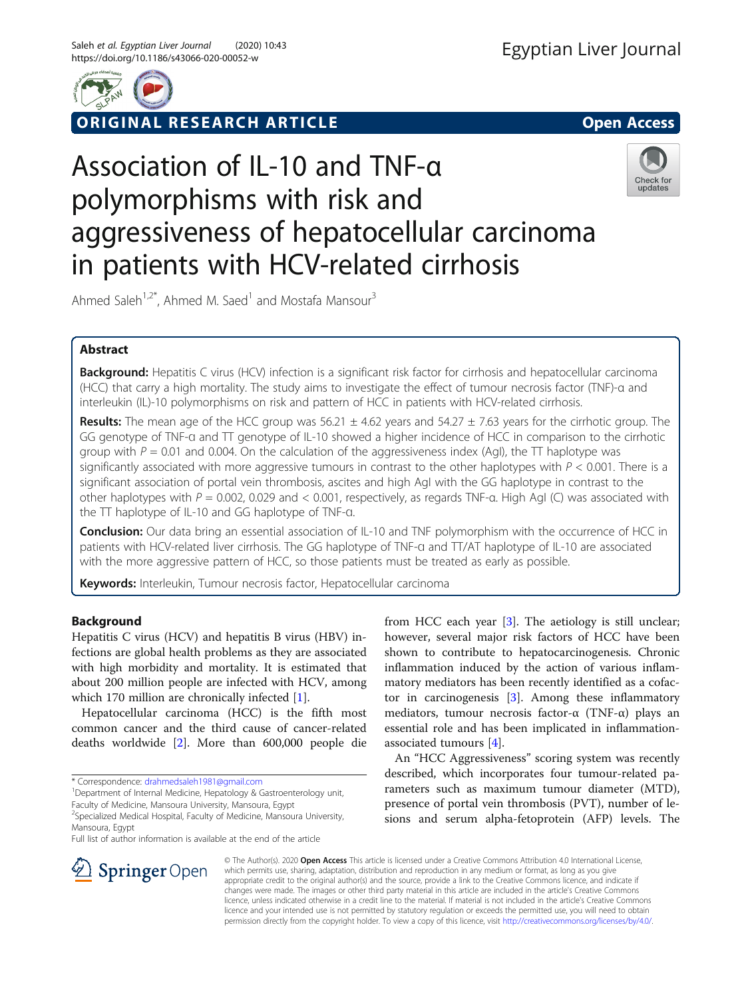

ORIGINAL RESEARCH ARTICLE **External of the Contract Open Access** 

# Association of IL-10 and TNF-α polymorphisms with risk and aggressiveness of hepatocellular carcinoma in patients with HCV-related cirrhosis



Ahmed Saleh<sup>1,2\*</sup>, Ahmed M. Saed<sup>1</sup> and Mostafa Mansour<sup>3</sup>

# Abstract

Background: Hepatitis C virus (HCV) infection is a significant risk factor for cirrhosis and hepatocellular carcinoma (HCC) that carry a high mortality. The study aims to investigate the effect of tumour necrosis factor (TNF)-α and interleukin (IL)-10 polymorphisms on risk and pattern of HCC in patients with HCV-related cirrhosis.

**Results:** The mean age of the HCC group was  $56.21 \pm 4.62$  years and  $54.27 \pm 7.63$  years for the cirrhotic group. The GG genotype of TNF-ɑ and TT genotype of IL-10 showed a higher incidence of HCC in comparison to the cirrhotic group with  $P = 0.01$  and 0.004. On the calculation of the aggressiveness index (AgI), the TT haplotype was significantly associated with more aggressive tumours in contrast to the other haplotypes with  $P < 0.001$ . There is a significant association of portal vein thrombosis, ascites and high AgI with the GG haplotype in contrast to the other haplotypes with  $P = 0.002$ , 0.029 and < 0.001, respectively, as regards TNF-a. High AgI (C) was associated with the TT haplotype of IL-10 and GG haplotype of TNF-ɑ.

**Conclusion:** Our data bring an essential association of IL-10 and TNF polymorphism with the occurrence of HCC in patients with HCV-related liver cirrhosis. The GG haplotype of TNF-ɑ and TT/AT haplotype of IL-10 are associated with the more aggressive pattern of HCC, so those patients must be treated as early as possible.

Keywords: Interleukin, Tumour necrosis factor, Hepatocellular carcinoma

# Background

Hepatitis C virus (HCV) and hepatitis B virus (HBV) infections are global health problems as they are associated with high morbidity and mortality. It is estimated that about 200 million people are infected with HCV, among which 170 million are chronically infected [\[1](#page-7-0)].

Hepatocellular carcinoma (HCC) is the fifth most common cancer and the third cause of cancer-related deaths worldwide [\[2](#page-7-0)]. More than 600,000 people die

\* Correspondence: [drahmedsaleh1981@gmail.com](mailto:drahmedsaleh1981@gmail.com) <sup>1</sup>

<sup>1</sup>Department of Internal Medicine, Hepatology & Gastroenterology unit, Faculty of Medicine, Mansoura University, Mansoura, Egypt

<sup>2</sup>Specialized Medical Hospital, Faculty of Medicine, Mansoura University, Mansoura, Egypt

Full list of author information is available at the end of the article

from HCC each year [\[3\]](#page-7-0). The aetiology is still unclear; however, several major risk factors of HCC have been shown to contribute to hepatocarcinogenesis. Chronic inflammation induced by the action of various inflammatory mediators has been recently identified as a cofactor in carcinogenesis [\[3](#page-7-0)]. Among these inflammatory mediators, tumour necrosis factor- $\alpha$  (TNF- $\alpha$ ) plays an essential role and has been implicated in inflammationassociated tumours [[4](#page-7-0)].

An "HCC Aggressiveness" scoring system was recently described, which incorporates four tumour-related parameters such as maximum tumour diameter (MTD), presence of portal vein thrombosis (PVT), number of lesions and serum alpha-fetoprotein (AFP) levels. The



© The Author(s). 2020 Open Access This article is licensed under a Creative Commons Attribution 4.0 International License, which permits use, sharing, adaptation, distribution and reproduction in any medium or format, as long as you give appropriate credit to the original author(s) and the source, provide a link to the Creative Commons licence, and indicate if changes were made. The images or other third party material in this article are included in the article's Creative Commons licence, unless indicated otherwise in a credit line to the material. If material is not included in the article's Creative Commons licence and your intended use is not permitted by statutory regulation or exceeds the permitted use, you will need to obtain permission directly from the copyright holder. To view a copy of this licence, visit <http://creativecommons.org/licenses/by/4.0/>.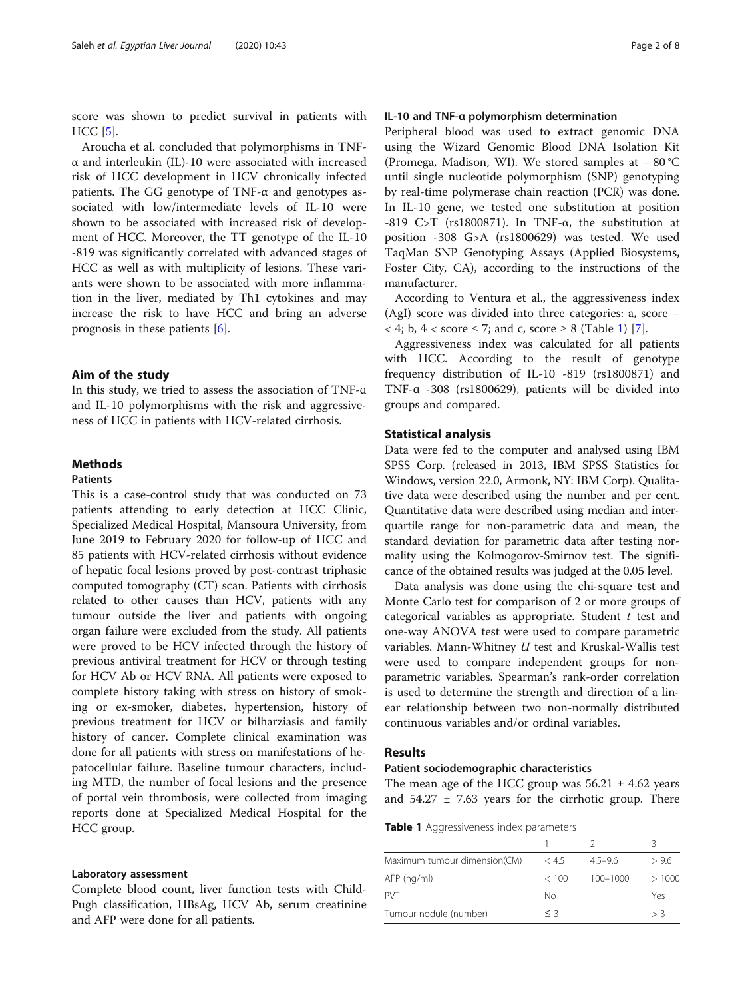score was shown to predict survival in patients with HCC [[5\]](#page-7-0).

Aroucha et al. concluded that polymorphisms in TNFα and interleukin (IL)-10 were associated with increased risk of HCC development in HCV chronically infected patients. The GG genotype of  $TNF-\alpha$  and genotypes associated with low/intermediate levels of IL-10 were shown to be associated with increased risk of development of HCC. Moreover, the TT genotype of the IL-10 -819 was significantly correlated with advanced stages of HCC as well as with multiplicity of lesions. These variants were shown to be associated with more inflammation in the liver, mediated by Th1 cytokines and may increase the risk to have HCC and bring an adverse prognosis in these patients [\[6](#page-7-0)].

#### Aim of the study

In this study, we tried to assess the association of TNF-ɑ and IL-10 polymorphisms with the risk and aggressiveness of HCC in patients with HCV-related cirrhosis.

## Methods

### Patients

This is a case-control study that was conducted on 73 patients attending to early detection at HCC Clinic, Specialized Medical Hospital, Mansoura University, from June 2019 to February 2020 for follow-up of HCC and 85 patients with HCV-related cirrhosis without evidence of hepatic focal lesions proved by post-contrast triphasic computed tomography (CT) scan. Patients with cirrhosis related to other causes than HCV, patients with any tumour outside the liver and patients with ongoing organ failure were excluded from the study. All patients were proved to be HCV infected through the history of previous antiviral treatment for HCV or through testing for HCV Ab or HCV RNA. All patients were exposed to complete history taking with stress on history of smoking or ex-smoker, diabetes, hypertension, history of previous treatment for HCV or bilharziasis and family history of cancer. Complete clinical examination was done for all patients with stress on manifestations of hepatocellular failure. Baseline tumour characters, including MTD, the number of focal lesions and the presence of portal vein thrombosis, were collected from imaging reports done at Specialized Medical Hospital for the HCC group.

#### Laboratory assessment

Complete blood count, liver function tests with Child-Pugh classification, HBsAg, HCV Ab, serum creatinine and AFP were done for all patients.

#### IL-10 and TNF-α polymorphism determination

Peripheral blood was used to extract genomic DNA using the Wizard Genomic Blood DNA Isolation Kit (Promega, Madison, WI). We stored samples at − 80 °C until single nucleotide polymorphism (SNP) genotyping by real-time polymerase chain reaction (PCR) was done. In IL-10 gene, we tested one substitution at position -819 C>T (rs1800871). In TNF-α, the substitution at position -308 G>A (rs1800629) was tested. We used TaqMan SNP Genotyping Assays (Applied Biosystems, Foster City, CA), according to the instructions of the manufacturer.

According to Ventura et al., the aggressiveness index (AgI) score was divided into three categories: a, score −  $\langle 4; b, 4 \rangle$  < score  $\leq 7$ ; and c, score  $\geq 8$  (Table 1) [\[7](#page-7-0)].

Aggressiveness index was calculated for all patients with HCC. According to the result of genotype frequency distribution of IL-10 -819 (rs1800871) and TNF-ɑ -308 (rs1800629), patients will be divided into groups and compared.

#### Statistical analysis

Data were fed to the computer and analysed using IBM SPSS Corp. (released in 2013, IBM SPSS Statistics for Windows, version 22.0, Armonk, NY: IBM Corp). Qualitative data were described using the number and per cent. Quantitative data were described using median and interquartile range for non-parametric data and mean, the standard deviation for parametric data after testing normality using the Kolmogorov-Smirnov test. The significance of the obtained results was judged at the 0.05 level.

Data analysis was done using the chi-square test and Monte Carlo test for comparison of 2 or more groups of categorical variables as appropriate. Student  $t$  test and one-way ANOVA test were used to compare parametric variables. Mann-Whitney  $U$  test and Kruskal-Wallis test were used to compare independent groups for nonparametric variables. Spearman's rank-order correlation is used to determine the strength and direction of a linear relationship between two non-normally distributed continuous variables and/or ordinal variables.

# Results

#### Patient sociodemographic characteristics

The mean age of the HCC group was  $56.21 \pm 4.62$  years and  $54.27 \pm 7.63$  years for the cirrhotic group. There

**Table 1** Aggressiveness index parameters

|                              |       |              | Κ     |
|------------------------------|-------|--------------|-------|
| Maximum tumour dimension(CM) | < 4.5 | $4.5 - 9.6$  | >96   |
| AFP (ng/ml)                  | < 100 | $100 - 1000$ | >1000 |
| <b>PVT</b>                   | Nο    |              | Yes   |
| Tumour nodule (number)       | $<$ 3 |              | > 3   |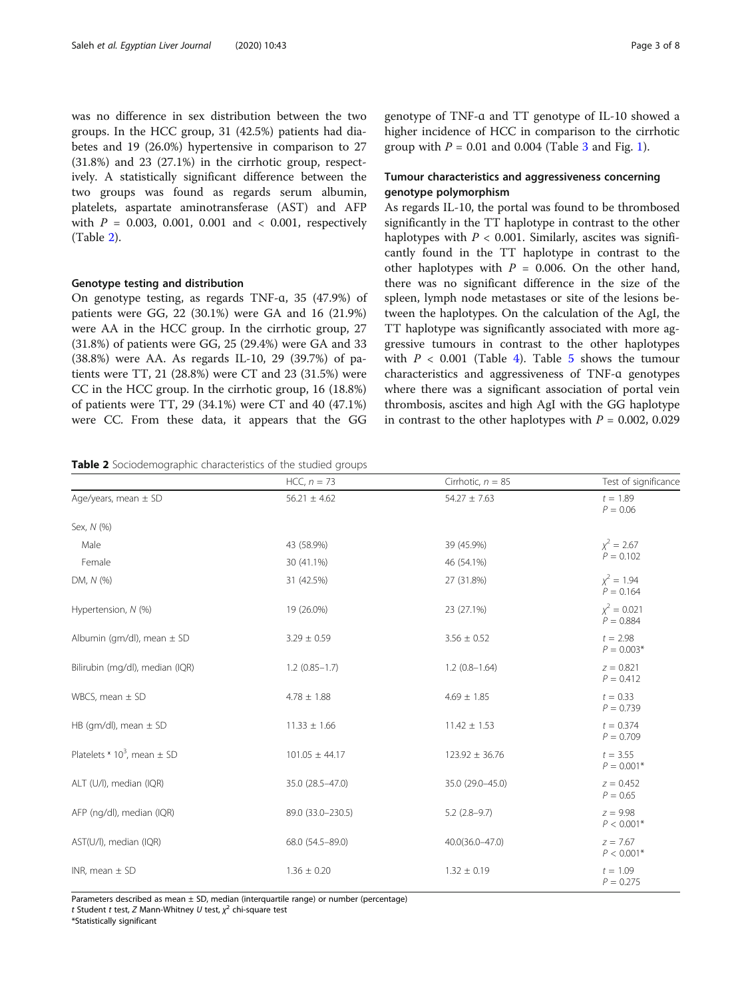<span id="page-2-0"></span>was no difference in sex distribution between the two groups. In the HCC group, 31 (42.5%) patients had diabetes and 19 (26.0%) hypertensive in comparison to 27 (31.8%) and 23 (27.1%) in the cirrhotic group, respectively. A statistically significant difference between the two groups was found as regards serum albumin, platelets, aspartate aminotransferase (AST) and AFP with  $P = 0.003, 0.001, 0.001, 0.001, 0.001, respectively$ (Table 2).

#### Genotype testing and distribution

On genotype testing, as regards TNF-ɑ, 35 (47.9%) of patients were GG, 22 (30.1%) were GA and 16 (21.9%) were AA in the HCC group. In the cirrhotic group, 27 (31.8%) of patients were GG, 25 (29.4%) were GA and 33 (38.8%) were AA. As regards IL-10, 29 (39.7%) of patients were TT, 21 (28.8%) were CT and 23 (31.5%) were CC in the HCC group. In the cirrhotic group, 16 (18.8%) of patients were TT, 29 (34.1%) were CT and 40 (47.1%) were CC. From these data, it appears that the GG

Table 2 Sociodemographic characteristics of the studied groups

genotype of TNF-ɑ and TT genotype of IL-10 showed a higher incidence of HCC in comparison to the cirrhotic group with  $P = 0.01$  $P = 0.01$  and 0.004 (Table [3](#page-3-0) and Fig. 1).

# Tumour characteristics and aggressiveness concerning genotype polymorphism

As regards IL-10, the portal was found to be thrombosed significantly in the TT haplotype in contrast to the other haplotypes with  $P < 0.001$ . Similarly, ascites was significantly found in the TT haplotype in contrast to the other haplotypes with  $P = 0.006$ . On the other hand, there was no significant difference in the size of the spleen, lymph node metastases or site of the lesions between the haplotypes. On the calculation of the AgI, the TT haplotype was significantly associated with more aggressive tumours in contrast to the other haplotypes with  $P < 0.001$  (Table [4\)](#page-4-0). Table [5](#page-5-0) shows the tumour characteristics and aggressiveness of TNF-ɑ genotypes where there was a significant association of portal vein thrombosis, ascites and high AgI with the GG haplotype in contrast to the other haplotypes with  $P = 0.002, 0.029$ 

HCC,  $n = 73$  Cirrhotic,  $n = 85$  Test of significance

Age/years, mean  $\pm$  SD 56.21  $\pm$  4.62 54.27  $\pm$  7.63 54.27  $\pm$  7.63  $t = 1.89$  $P = 0.06$ Sex, N (%) Male  $43 (58.9%)$   $43 (58.9%)$   $39 (45.9%)$  $\chi^2$  = 2.67<br> $P = 0.102$ Female  $P = 0.102$  30 (41.1%)  $P = 0.102$ DM, N (%) 31 (42.5%) 31 (42.5%) 27 (31.8%) 27 (31.8%)  $\chi^2 = 1.94$  $P = 0.164$ Hypertension, N (%) 19 (26.0%) 19 (26.0%) 23 (27.1%)  $x^2 = 0.021$  $P = 0.884$ Albumin (gm/dl), mean  $\pm$  SD 3.29  $\pm$  0.59 3.56  $\pm$  0.52 5 3.56  $\pm$  0.52  $t = 2.98$  $P = 0.003*$ Bilirubin (mg/dl), median (IQR) 1.2 (0.85–1.7) 1.2 (0.85–1.7) 1.2 (0.8–1.64)  $z = 0.821$  $P = 0.412$ WBCS, mean  $\pm$  SD  $\pm$  1.88  $\pm$  1.88  $\pm$  1.85  $\pm$  1.85  $\pm$  1.85  $\pm$  1.85  $P = 0.739$ HB (gm/dl), mean  $\pm$  SD 11.33  $\pm$  1.66 11.42  $\pm$  1.53 t = 0.374  $P = 0.709$ Platelets  $\times$  10<sup>3</sup>, mean  $\pm$  SD  $t = 3.55$   $t = 3.55$  $P = 0.001*$ ALT (U/l), median (IQR) 35.0 (28.5–47.0) 35.0 (29.0–45.0) z = 0.452  $P = 0.65$ AFP (ng/dl), median (IQR) 89.0 (33.0–230.5) 5.2 (2.8–9.7)  $z = 9.98$  $P < 0.001*$  $AST(U/I)$ , median (IQR)  $Z = 7.67$  $P < 0.001*$  $1.36 \pm 0.20$  1.32  $\pm 0.19$  t = 1.09 t = 1.09  $P = 0.275$ 

Parameters described as mean  $\pm$  SD, median (interquartile range) or number (percentage)

t Student t test, Z Mann-Whitney U test,  $\chi^2$  chi-square test<br>\*Statistically significant

\*Statistically significant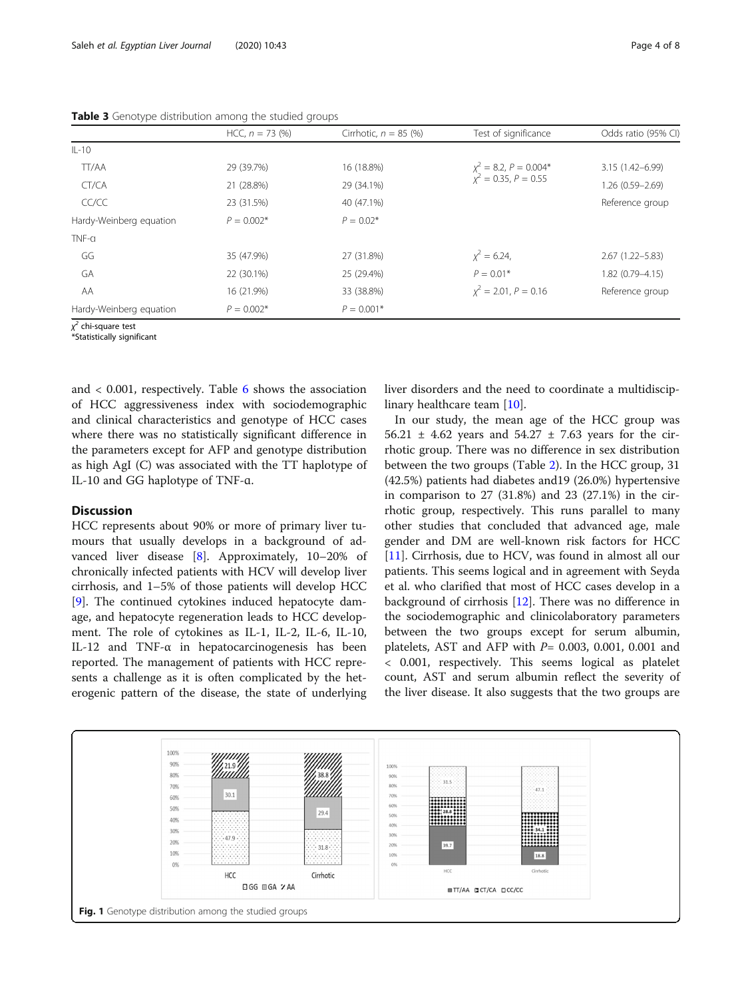|                         | $HCC, n = 73 (%)$ | Cirrhotic, $n = 85$ (%) | Test of significance                                    | Odds ratio (95% CI) |
|-------------------------|-------------------|-------------------------|---------------------------------------------------------|---------------------|
| $IL-10$                 |                   |                         |                                                         |                     |
| TT/AA                   | 29 (39.7%)        | 16 (18.8%)              | $\chi^2$ = 8.2, P = 0.004*<br>$\chi^2$ = 0.35, P = 0.55 | $3.15(1.42 - 6.99)$ |
| CT/CA                   | 21 (28.8%)        | 29 (34.1%)              |                                                         | 1.26 (0.59-2.69)    |
| CC/CC                   | 23 (31.5%)        | 40 (47.1%)              |                                                         | Reference group     |
| Hardy-Weinberg equation | $P = 0.002*$      | $P = 0.02*$             |                                                         |                     |
| TNF-a                   |                   |                         |                                                         |                     |
| GG                      | 35 (47.9%)        | 27 (31.8%)              | $x^2 = 6.24$                                            | $2.67(1.22 - 5.83)$ |
| GA                      | 22 (30.1%)        | 25 (29.4%)              | $P = 0.01*$                                             | $1.82(0.79 - 4.15)$ |
| AA                      | 16 (21.9%)        | 33 (38.8%)              | $x^2 = 2.01$ , $P = 0.16$                               | Reference group     |
| Hardy-Weinberg equation | $P = 0.002*$      | $P = 0.001*$            |                                                         |                     |

<span id="page-3-0"></span>Table 3 Genotype distribution among the studied groups

χ <sup>2</sup> chi-square test

\*Statistically significant

and  $\langle 0.001$ , respectively. Table [6](#page-6-0) shows the association of HCC aggressiveness index with sociodemographic and clinical characteristics and genotype of HCC cases where there was no statistically significant difference in the parameters except for AFP and genotype distribution as high AgI (C) was associated with the TT haplotype of IL-10 and GG haplotype of TNF-ɑ.

# **Discussion**

HCC represents about 90% or more of primary liver tumours that usually develops in a background of advanced liver disease [[8\]](#page-7-0). Approximately, 10–20% of chronically infected patients with HCV will develop liver cirrhosis, and 1–5% of those patients will develop HCC [[9\]](#page-7-0). The continued cytokines induced hepatocyte damage, and hepatocyte regeneration leads to HCC development. The role of cytokines as IL-1, IL-2, IL-6, IL-10, IL-12 and TNF- $\alpha$  in hepatocarcinogenesis has been reported. The management of patients with HCC represents a challenge as it is often complicated by the heterogenic pattern of the disease, the state of underlying liver disorders and the need to coordinate a multidisciplinary healthcare team [[10\]](#page-7-0).

In our study, the mean age of the HCC group was 56.21  $\pm$  4.62 years and 54.27  $\pm$  7.63 years for the cirrhotic group. There was no difference in sex distribution between the two groups (Table [2](#page-2-0)). In the HCC group, 31 (42.5%) patients had diabetes and19 (26.0%) hypertensive in comparison to 27 (31.8%) and 23 (27.1%) in the cirrhotic group, respectively. This runs parallel to many other studies that concluded that advanced age, male gender and DM are well-known risk factors for HCC [[11\]](#page-7-0). Cirrhosis, due to HCV, was found in almost all our patients. This seems logical and in agreement with Seyda et al. who clarified that most of HCC cases develop in a background of cirrhosis  $[12]$  $[12]$ . There was no difference in the sociodemographic and clinicolaboratory parameters between the two groups except for serum albumin, platelets, AST and AFP with  $P= 0.003, 0.001, 0.001$  and < 0.001, respectively. This seems logical as platelet count, AST and serum albumin reflect the severity of the liver disease. It also suggests that the two groups are

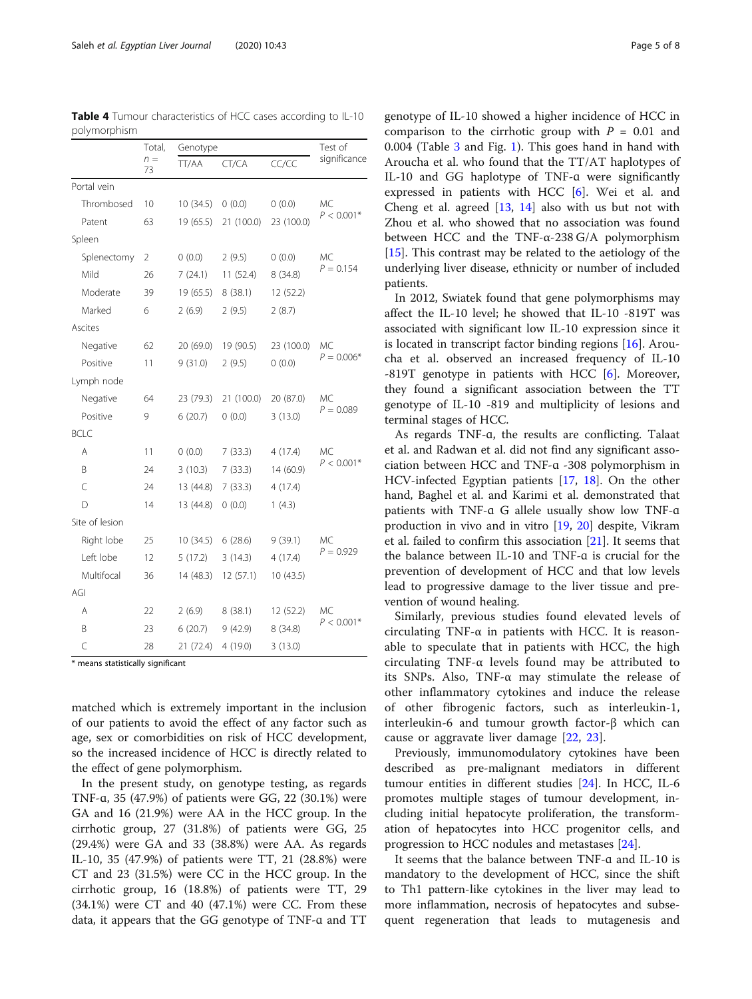genotype of IL-10 showed a higher incidence of HCC in comparison to the cirrhotic group with  $P = 0.01$  and 0.004 (Table [3](#page-3-0) and Fig. [1\)](#page-3-0). This goes hand in hand with Aroucha et al. who found that the TT/AT haplotypes of IL-10 and GG haplotype of TNF-ɑ were significantly expressed in patients with HCC [\[6\]](#page-7-0). Wei et al. and Cheng et al. agreed [\[13](#page-7-0), [14](#page-7-0)] also with us but not with Zhou et al. who showed that no association was found between HCC and the TNF-α-238 G/A polymorphism [[15\]](#page-7-0). This contrast may be related to the aetiology of the underlying liver disease, ethnicity or number of included patients.

In 2012, Swiatek found that gene polymorphisms may affect the IL-10 level; he showed that IL-10 -819T was associated with significant low IL-10 expression since it is located in transcript factor binding regions [[16\]](#page-7-0). Aroucha et al. observed an increased frequency of IL-10 -819T genotype in patients with HCC  $[6]$  $[6]$ . Moreover, they found a significant association between the TT genotype of IL-10 -819 and multiplicity of lesions and terminal stages of HCC.

As regards TNF-ɑ, the results are conflicting. Talaat et al. and Radwan et al. did not find any significant association between HCC and TNF-ɑ -308 polymorphism in HCV-infected Egyptian patients [[17,](#page-7-0) [18](#page-7-0)]. On the other hand, Baghel et al. and Karimi et al. demonstrated that patients with TNF-ɑ G allele usually show low TNF-ɑ production in vivo and in vitro [\[19](#page-7-0), [20\]](#page-7-0) despite, Vikram et al. failed to confirm this association [\[21](#page-7-0)]. It seems that the balance between IL-10 and TNF-ɑ is crucial for the prevention of development of HCC and that low levels lead to progressive damage to the liver tissue and prevention of wound healing.

Similarly, previous studies found elevated levels of circulating TNF- $\alpha$  in patients with HCC. It is reasonable to speculate that in patients with HCC, the high circulating TNF-α levels found may be attributed to its SNPs. Also, TNF-α may stimulate the release of other inflammatory cytokines and induce the release of other fibrogenic factors, such as interleukin-1, interleukin-6 and tumour growth factor-β which can cause or aggravate liver damage [\[22](#page-7-0), [23\]](#page-7-0).

Previously, immunomodulatory cytokines have been described as pre-malignant mediators in different tumour entities in different studies [\[24\]](#page-7-0). In HCC, IL-6 promotes multiple stages of tumour development, including initial hepatocyte proliferation, the transformation of hepatocytes into HCC progenitor cells, and progression to HCC nodules and metastases [\[24](#page-7-0)].

It seems that the balance between TNF-ɑ and IL-10 is mandatory to the development of HCC, since the shift to Th1 pattern-like cytokines in the liver may lead to more inflammation, necrosis of hepatocytes and subsequent regeneration that leads to mutagenesis and

<span id="page-4-0"></span>Table 4 Tumour characteristics of HCC cases according to IL-10 polymorphism

Genotype Test of

|                | $n =$<br>73 | TT/AA     | CT/CA      | CC/CC      | significance |  |
|----------------|-------------|-----------|------------|------------|--------------|--|
| Portal vein    |             |           |            |            |              |  |
| Thrombosed     | 10          | 10(34.5)  | 0(0.0)     | 0(0.0)     | МC           |  |
| Patent         | 63          | 19(65.5)  | 21 (100.0) | 23 (100.0) | $P < 0.001*$ |  |
| Spleen         |             |           |            |            |              |  |
| Splenectomy    | 2           | 0(0.0)    | 2(9.5)     | 0(0.0)     | МC           |  |
| Mild           | 26          | 7(24.1)   | 11(52.4)   | 8(34.8)    | $P = 0.154$  |  |
| Moderate       | 39          | 19 (65.5) | 8(38.1)    | 12 (52.2)  |              |  |
| Marked         | 6           | 2(6.9)    | 2(9.5)     | 2(8.7)     |              |  |
| Ascites        |             |           |            |            |              |  |
| Negative       | 62          | 20 (69.0) | 19 (90.5)  | 23 (100.0) | МC           |  |
| Positive       | 11          | 9(31.0)   | 2(9.5)     | 0(0.0)     | $P = 0.006*$ |  |
| Lymph node     |             |           |            |            |              |  |
| Negative       | 64          | 23 (79.3) | 21 (100.0) | 20 (87.0)  | МC           |  |
| Positive       | 9           | 6(20.7)   | 0(0.0)     | 3(13.0)    | $P = 0.089$  |  |
| <b>BCLC</b>    |             |           |            |            |              |  |
| Α              | 11          | 0(0.0)    | 7(33.3)    | 4(17.4)    | МC           |  |
| B              | 24          | 3(10.3)   | 7(33.3)    | 14 (60.9)  | $P < 0.001*$ |  |
| $\overline{C}$ | 24          | 13 (44.8) | 7(33.3)    | 4(17.4)    |              |  |
| D              | 14          | 13 (44.8) | 0(0.0)     | 1(4.3)     |              |  |
| Site of lesion |             |           |            |            |              |  |
| Right lobe     | 25          | 10(34.5)  | 6(28.6)    | 9(39.1)    | МC           |  |
| Left lobe      | 12          | 5(17.2)   | 3(14.3)    | 4(17.4)    | $P = 0.929$  |  |
| Multifocal     | 36          | 14 (48.3) | 12(57.1)   | 10(43.5)   |              |  |
| AGI            |             |           |            |            |              |  |
| Α              | 22          | 2(6.9)    | 8(38.1)    | 12 (52.2)  | МC           |  |
| B              | 23          | 6(20.7)   | 9(42.9)    | 8(34.8)    | $P < 0.001*$ |  |
| C              | 28          | 21 (72.4) | 4 (19.0)   | 3(13.0)    |              |  |

\* means statistically significant

matched which is extremely important in the inclusion of our patients to avoid the effect of any factor such as age, sex or comorbidities on risk of HCC development, so the increased incidence of HCC is directly related to the effect of gene polymorphism.

In the present study, on genotype testing, as regards TNF-ɑ, 35 (47.9%) of patients were GG, 22 (30.1%) were GA and 16 (21.9%) were AA in the HCC group. In the cirrhotic group, 27 (31.8%) of patients were GG, 25 (29.4%) were GA and 33 (38.8%) were AA. As regards IL-10, 35 (47.9%) of patients were TT, 21 (28.8%) were CT and 23 (31.5%) were CC in the HCC group. In the cirrhotic group, 16 (18.8%) of patients were TT, 29 (34.1%) were CT and 40 (47.1%) were CC. From these data, it appears that the GG genotype of TNF-ɑ and TT

Total,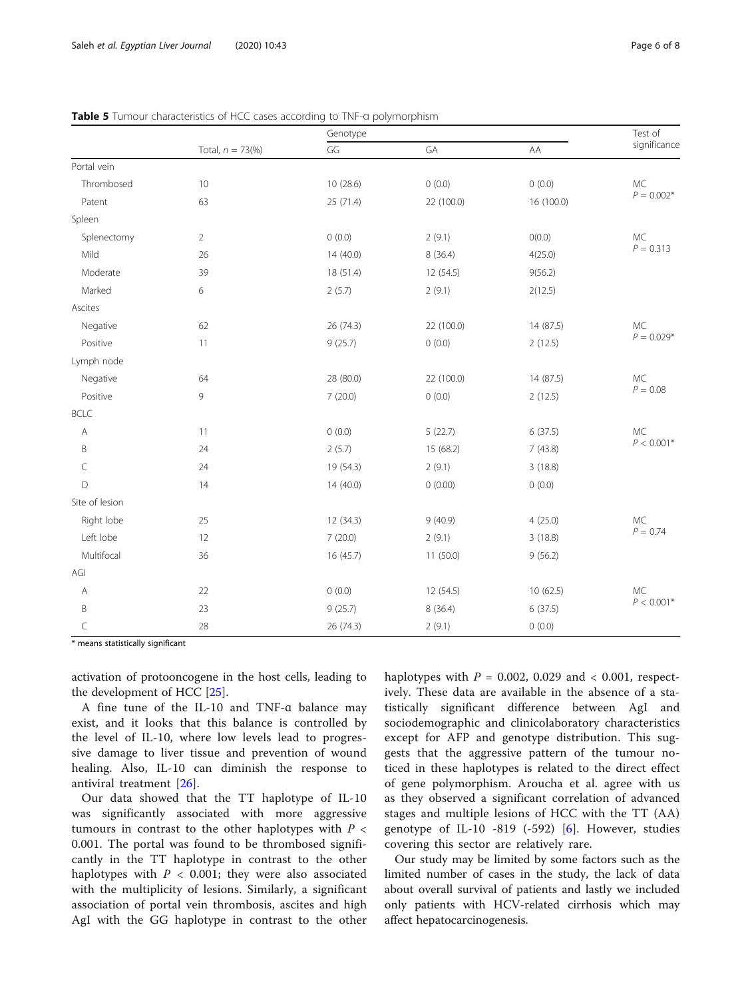|                   |                | Genotype  |            |              | Test of            |
|-------------------|----------------|-----------|------------|--------------|--------------------|
| Total, $n = 73\%$ | GG             | GA        | AA         | significance |                    |
| Portal vein       |                |           |            |              |                    |
| Thrombosed        | $10$           | 10 (28.6) | 0(0.0)     | 0(0.0)       | MC                 |
| Patent            | 63             | 25 (71.4) | 22 (100.0) | 16 (100.0)   | $P = 0.002*$       |
| Spleen            |                |           |            |              |                    |
| Splenectomy       | $\overline{2}$ | 0(0.0)    | 2(9.1)     | O(0.0)       | MC<br>$P = 0.313$  |
| Mild              | 26             | 14 (40.0) | 8(36.4)    | 4(25.0)      |                    |
| Moderate          | 39             | 18 (51.4) | 12 (54.5)  | 9(56.2)      |                    |
| Marked            | 6              | 2(5.7)    | 2(9.1)     | 2(12.5)      |                    |
| Ascites           |                |           |            |              |                    |
| Negative          | 62             | 26 (74.3) | 22 (100.0) | 14 (87.5)    | MC<br>$P = 0.029*$ |
| Positive          | 11             | 9(25.7)   | 0(0.0)     | 2(12.5)      |                    |
| Lymph node        |                |           |            |              |                    |
| Negative          | 64             | 28 (80.0) | 22 (100.0) | 14 (87.5)    | MC                 |
| Positive          | 9              | 7(20.0)   | 0(0.0)     | 2(12.5)      | $P = 0.08$         |
| <b>BCLC</b>       |                |           |            |              |                    |
| $\mathsf{A}$      | 11             | 0(0.0)    | 5(22.7)    | 6(37.5)      | <b>MC</b>          |
| B                 | 24             | 2(5.7)    | 15 (68.2)  | 7(43.8)      | $P < 0.001*$       |
| $\subset$         | 24             | 19 (54.3) | 2(9.1)     | 3(18.8)      |                    |
| D                 | 14             | 14 (40.0) | 0(0.00)    | 0(0.0)       |                    |
| Site of lesion    |                |           |            |              |                    |
| Right lobe        | 25             | 12(34.3)  | 9(40.9)    | 4(25.0)      | MC<br>$P = 0.74$   |
| Left lobe         | 12             | 7(20.0)   | 2(9.1)     | 3(18.8)      |                    |
| Multifocal        | 36             | 16(45.7)  | 11(50.0)   | 9(56.2)      |                    |
| AGI               |                |           |            |              |                    |
| A                 | 22             | 0(0.0)    | 12 (54.5)  | 10(62.5)     | MC                 |
| B                 | 23             | 9(25.7)   | 8 (36.4)   | 6(37.5)      | $P < 0.001*$       |
| C                 | 28             | 26 (74.3) | 2(9.1)     | 0(0.0)       |                    |

<span id="page-5-0"></span>

\* means statistically significant

activation of protooncogene in the host cells, leading to the development of HCC [[25\]](#page-7-0).

A fine tune of the IL-10 and TNF-ɑ balance may exist, and it looks that this balance is controlled by the level of IL-10, where low levels lead to progressive damage to liver tissue and prevention of wound healing. Also, IL-10 can diminish the response to antiviral treatment [[26\]](#page-7-0).

Our data showed that the TT haplotype of IL-10 was significantly associated with more aggressive tumours in contrast to the other haplotypes with  $P \lt \mathbb{R}$ 0.001. The portal was found to be thrombosed significantly in the TT haplotype in contrast to the other haplotypes with  $P < 0.001$ ; they were also associated with the multiplicity of lesions. Similarly, a significant association of portal vein thrombosis, ascites and high AgI with the GG haplotype in contrast to the other haplotypes with  $P = 0.002$ , 0.029 and < 0.001, respectively. These data are available in the absence of a statistically significant difference between AgI and sociodemographic and clinicolaboratory characteristics except for AFP and genotype distribution. This suggests that the aggressive pattern of the tumour noticed in these haplotypes is related to the direct effect of gene polymorphism. Aroucha et al. agree with us as they observed a significant correlation of advanced stages and multiple lesions of HCC with the TT (AA) genotype of IL-10 -819 (-592) [[6\]](#page-7-0). However, studies covering this sector are relatively rare.

Our study may be limited by some factors such as the limited number of cases in the study, the lack of data about overall survival of patients and lastly we included only patients with HCV-related cirrhosis which may affect hepatocarcinogenesis.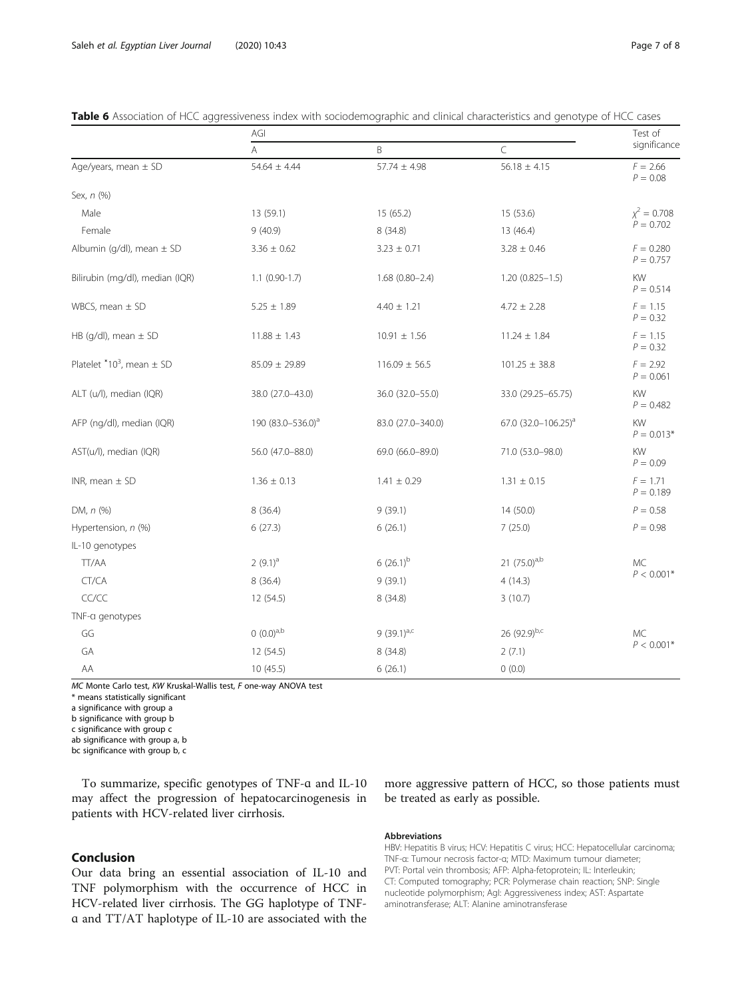| - -                                       | AGI                           |                    |                                 | Test of                    |  |
|-------------------------------------------|-------------------------------|--------------------|---------------------------------|----------------------------|--|
|                                           | A                             | B                  | C                               | significance               |  |
| Age/years, mean $\pm$ SD                  | $54.64 \pm 4.44$              | $57.74 \pm 4.98$   | $56.18 \pm 4.15$                | $F = 2.66$<br>$P = 0.08$   |  |
| Sex, n (%)                                |                               |                    |                                 |                            |  |
| Male                                      | 13 (59.1)                     | 15 (65.2)          | 15 (53.6)                       | $\chi^2 = 0.708$           |  |
| Female                                    | 9(40.9)                       | 8 (34.8)           | 13 (46.4)                       | $P = 0.702$                |  |
| Albumin (g/dl), mean $\pm$ SD             | $3.36 \pm 0.62$               | $3.23 \pm 0.71$    | $3.28 \pm 0.46$                 | $F = 0.280$<br>$P = 0.757$ |  |
| Bilirubin (mg/dl), median (IQR)           | $1.1$ (0.90-1.7)              | $1.68(0.80 - 2.4)$ | $1.20(0.825 - 1.5)$             | KW<br>$P = 0.514$          |  |
| WBCS, mean $\pm$ SD                       | $5.25 \pm 1.89$               | $4.40 \pm 1.21$    | $4.72 \pm 2.28$                 | $F = 1.15$<br>$P = 0.32$   |  |
| HB (g/dl), mean $\pm$ SD                  | $11.88 \pm 1.43$              | $10.91 \pm 1.56$   | $11.24 \pm 1.84$                | $F = 1.15$<br>$P = 0.32$   |  |
| Platelet *10 <sup>3</sup> , mean $\pm$ SD | $85.09 \pm 29.89$             | $116.09 \pm 56.5$  | $101.25 \pm 38.8$               | $F = 2.92$<br>$P = 0.061$  |  |
| ALT (u/l), median (IQR)                   | 38.0 (27.0-43.0)              | 36.0 (32.0-55.0)   | 33.0 (29.25-65.75)              | KW<br>$P = 0.482$          |  |
| AFP (ng/dl), median (IQR)                 | 190 (83.0-536.0) <sup>a</sup> | 83.0 (27.0-340.0)  | 67.0 (32.0-106.25) <sup>a</sup> | KW<br>$P = 0.013*$         |  |
| AST(u/l), median (IQR)                    | 56.0 (47.0-88.0)              | 69.0 (66.0-89.0)   | 71.0 (53.0-98.0)                | KW<br>$P = 0.09$           |  |
| INR, mean $\pm$ SD                        | $1.36 \pm 0.13$               | $1.41 \pm 0.29$    | $1.31 \pm 0.15$                 | $F = 1.71$<br>$P = 0.189$  |  |
| DM, n (%)                                 | 8(36.4)                       | 9(39.1)            | 14 (50.0)                       | $P = 0.58$                 |  |
| Hypertension, n (%)                       | 6(27.3)                       | 6(26.1)            | 7(25.0)                         | $P = 0.98$                 |  |
| IL-10 genotypes                           |                               |                    |                                 |                            |  |
| TT/AA                                     | $2(9.1)^{a}$                  | $6(26.1)^b$        | 21 $(75.0)^{a,b}$               | <b>MC</b><br>$P < 0.001*$  |  |
| CT/CA                                     | 8(36.4)                       | 9(39.1)            | 4(14.3)                         |                            |  |
| CC/CC                                     | 12(54.5)                      | 8(34.8)            | 3(10.7)                         |                            |  |
| TNF-a genotypes                           |                               |                    |                                 |                            |  |
| GG                                        | $(0.0)^{a,b}$                 | 9 $(39.1)^{a,c}$   | 26 (92.9)b,c                    | MC                         |  |
| GA                                        | 12 (54.5)                     | 8(34.8)            | 2(7.1)                          | $P < 0.001*$               |  |
| AA                                        | 10(45.5)                      | 6(26.1)            | 0(0.0)                          |                            |  |

<span id="page-6-0"></span>

|  | Table 6 Association of HCC aggressiveness index with sociodemographic and clinical characteristics and genotype of HCC cases |
|--|------------------------------------------------------------------------------------------------------------------------------|
|  |                                                                                                                              |

MC Monte Carlo test, KW Kruskal-Wallis test, F one-way ANOVA test

\* means statistically significant

a significance with group a

b significance with group b c significance with group c

ab significance with group a, b

bc significance with group b, c

To summarize, specific genotypes of TNF-ɑ and IL-10 may affect the progression of hepatocarcinogenesis in patients with HCV-related liver cirrhosis.

# Conclusion

Our data bring an essential association of IL-10 and TNF polymorphism with the occurrence of HCC in HCV-related liver cirrhosis. The GG haplotype of TNFɑ and TT/AT haplotype of IL-10 are associated with the

more aggressive pattern of HCC, so those patients must be treated as early as possible.

## Abbreviations

HBV: Hepatitis B virus; HCV: Hepatitis C virus; HCC: Hepatocellular carcinoma; TNF-α: Tumour necrosis factor-α; MTD: Maximum tumour diameter; PVT: Portal vein thrombosis; AFP: Alpha-fetoprotein; IL: Interleukin; CT: Computed tomography; PCR: Polymerase chain reaction; SNP: Single nucleotide polymorphism; AgI: Aggressiveness index; AST: Aspartate aminotransferase; ALT: Alanine aminotransferase